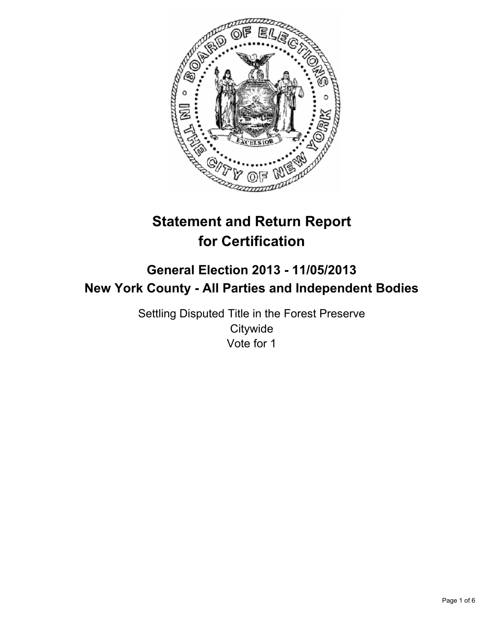

# **Statement and Return Report for Certification**

## **General Election 2013 - 11/05/2013 New York County - All Parties and Independent Bodies**

Settling Disputed Title in the Forest Preserve **Citywide** Vote for 1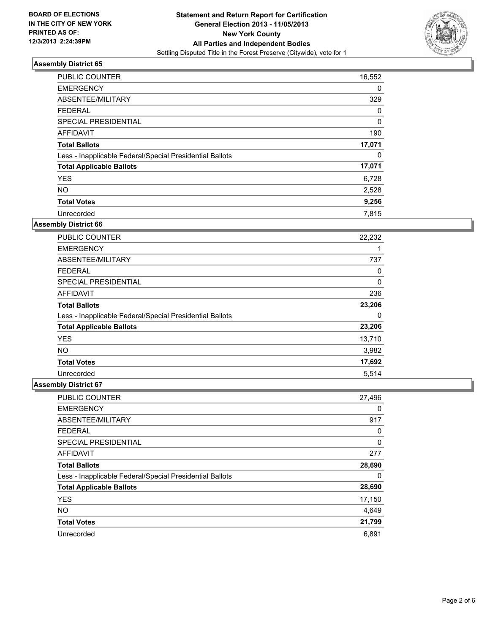

| <b>PUBLIC COUNTER</b>                                    | 16,552   |
|----------------------------------------------------------|----------|
| <b>EMERGENCY</b>                                         | 0        |
| ABSENTEE/MILITARY                                        | 329      |
| <b>FEDERAL</b>                                           | 0        |
| SPECIAL PRESIDENTIAL                                     | $\Omega$ |
| <b>AFFIDAVIT</b>                                         | 190      |
| <b>Total Ballots</b>                                     | 17,071   |
| Less - Inapplicable Federal/Special Presidential Ballots | 0        |
| <b>Total Applicable Ballots</b>                          | 17,071   |
| <b>YES</b>                                               | 6,728    |
| <b>NO</b>                                                | 2,528    |
| <b>Total Votes</b>                                       | 9,256    |
| Unrecorded                                               | 7.815    |

## **Assembly District 66**

| <b>PUBLIC COUNTER</b>                                    | 22,232 |
|----------------------------------------------------------|--------|
| <b>EMERGENCY</b>                                         |        |
| ABSENTEE/MILITARY                                        | 737    |
| <b>FEDERAL</b>                                           | 0      |
| <b>SPECIAL PRESIDENTIAL</b>                              | 0      |
| AFFIDAVIT                                                | 236    |
| <b>Total Ballots</b>                                     | 23,206 |
| Less - Inapplicable Federal/Special Presidential Ballots | 0      |
| <b>Total Applicable Ballots</b>                          | 23,206 |
| <b>YES</b>                                               | 13,710 |
| <b>NO</b>                                                | 3,982  |
| <b>Total Votes</b>                                       | 17,692 |
| Unrecorded                                               | 5.514  |

| PUBLIC COUNTER                                           | 27,496 |
|----------------------------------------------------------|--------|
| <b>EMERGENCY</b>                                         | 0      |
| ABSENTEE/MILITARY                                        | 917    |
| <b>FEDERAL</b>                                           | 0      |
| SPECIAL PRESIDENTIAL                                     | 0      |
| AFFIDAVIT                                                | 277    |
| <b>Total Ballots</b>                                     | 28,690 |
| Less - Inapplicable Federal/Special Presidential Ballots | 0      |
| <b>Total Applicable Ballots</b>                          | 28,690 |
| <b>YES</b>                                               | 17,150 |
| <b>NO</b>                                                | 4,649  |
| <b>Total Votes</b>                                       | 21,799 |
| Unrecorded                                               | 6,891  |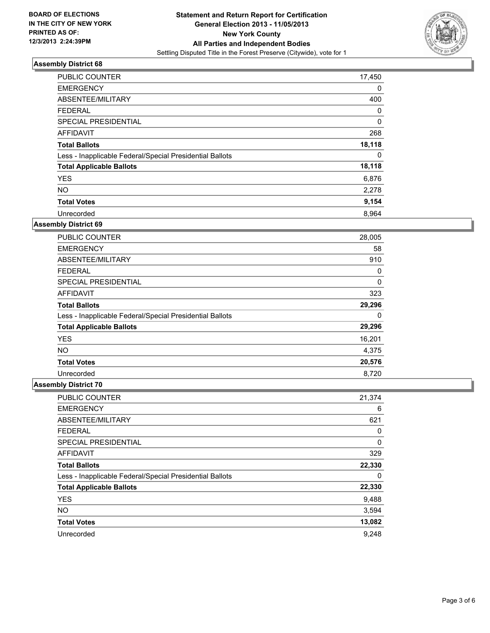

| <b>PUBLIC COUNTER</b>                                    | 17,450   |
|----------------------------------------------------------|----------|
| <b>EMERGENCY</b>                                         | 0        |
| ABSENTEE/MILITARY                                        | 400      |
| <b>FEDERAL</b>                                           | 0        |
| SPECIAL PRESIDENTIAL                                     | $\Omega$ |
| <b>AFFIDAVIT</b>                                         | 268      |
| <b>Total Ballots</b>                                     | 18,118   |
| Less - Inapplicable Federal/Special Presidential Ballots | 0        |
| <b>Total Applicable Ballots</b>                          | 18,118   |
| <b>YES</b>                                               | 6,876    |
| <b>NO</b>                                                | 2,278    |
| <b>Total Votes</b>                                       | 9,154    |
| Unrecorded                                               | 8.964    |

## **Assembly District 69**

| <b>PUBLIC COUNTER</b>                                    | 28,005 |
|----------------------------------------------------------|--------|
| <b>EMERGENCY</b>                                         | 58     |
| ABSENTEE/MILITARY                                        | 910    |
| <b>FEDERAL</b>                                           | 0      |
| SPECIAL PRESIDENTIAL                                     | 0      |
| AFFIDAVIT                                                | 323    |
| <b>Total Ballots</b>                                     | 29,296 |
| Less - Inapplicable Federal/Special Presidential Ballots | 0      |
| <b>Total Applicable Ballots</b>                          | 29,296 |
| <b>YES</b>                                               | 16,201 |
| <b>NO</b>                                                | 4,375  |
| <b>Total Votes</b>                                       | 20,576 |
| Unrecorded                                               | 8,720  |

| PUBLIC COUNTER                                           | 21,374 |
|----------------------------------------------------------|--------|
| <b>EMERGENCY</b>                                         | 6      |
| ABSENTEE/MILITARY                                        | 621    |
| <b>FEDERAL</b>                                           | 0      |
| SPECIAL PRESIDENTIAL                                     | 0      |
| AFFIDAVIT                                                | 329    |
| <b>Total Ballots</b>                                     | 22,330 |
| Less - Inapplicable Federal/Special Presidential Ballots | 0      |
| <b>Total Applicable Ballots</b>                          | 22,330 |
| <b>YES</b>                                               | 9,488  |
| <b>NO</b>                                                | 3,594  |
| <b>Total Votes</b>                                       | 13,082 |
| Unrecorded                                               | 9,248  |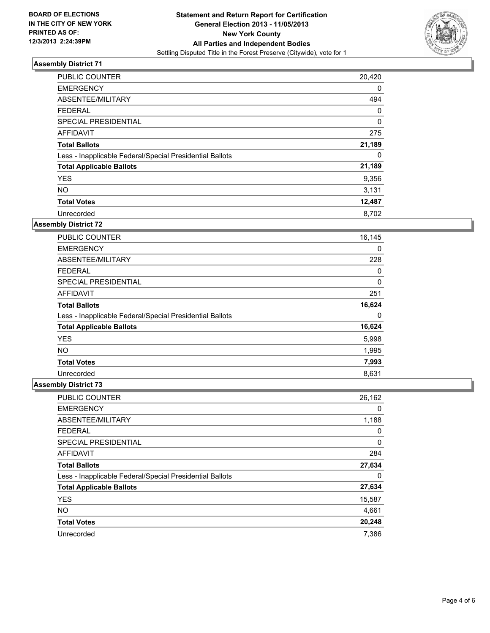

| <b>PUBLIC COUNTER</b>                                    | 20,420 |
|----------------------------------------------------------|--------|
| <b>EMERGENCY</b>                                         | 0      |
| ABSENTEE/MILITARY                                        | 494    |
| <b>FEDERAL</b>                                           | 0      |
| SPECIAL PRESIDENTIAL                                     | 0      |
| <b>AFFIDAVIT</b>                                         | 275    |
| <b>Total Ballots</b>                                     | 21,189 |
| Less - Inapplicable Federal/Special Presidential Ballots | 0      |
| <b>Total Applicable Ballots</b>                          | 21,189 |
| <b>YES</b>                                               | 9,356  |
| <b>NO</b>                                                | 3,131  |
| <b>Total Votes</b>                                       | 12,487 |
| Unrecorded                                               | 8.702  |

## **Assembly District 72**

| <b>PUBLIC COUNTER</b>                                    | 16,145 |
|----------------------------------------------------------|--------|
| <b>EMERGENCY</b>                                         | 0      |
| ABSENTEE/MILITARY                                        | 228    |
| <b>FEDERAL</b>                                           | 0      |
| <b>SPECIAL PRESIDENTIAL</b>                              | 0      |
| AFFIDAVIT                                                | 251    |
| <b>Total Ballots</b>                                     | 16,624 |
| Less - Inapplicable Federal/Special Presidential Ballots | 0      |
| <b>Total Applicable Ballots</b>                          | 16,624 |
| <b>YES</b>                                               | 5,998  |
| <b>NO</b>                                                | 1,995  |
| <b>Total Votes</b>                                       | 7,993  |
| Unrecorded                                               | 8,631  |

| PUBLIC COUNTER                                           | 26,162 |
|----------------------------------------------------------|--------|
| <b>EMERGENCY</b>                                         | 0      |
| ABSENTEE/MILITARY                                        | 1,188  |
| <b>FEDERAL</b>                                           | 0      |
| SPECIAL PRESIDENTIAL                                     | 0      |
| <b>AFFIDAVIT</b>                                         | 284    |
| <b>Total Ballots</b>                                     | 27,634 |
| Less - Inapplicable Federal/Special Presidential Ballots | 0      |
| <b>Total Applicable Ballots</b>                          | 27,634 |
| <b>YES</b>                                               | 15,587 |
| <b>NO</b>                                                | 4,661  |
| <b>Total Votes</b>                                       | 20,248 |
| Unrecorded                                               | 7.386  |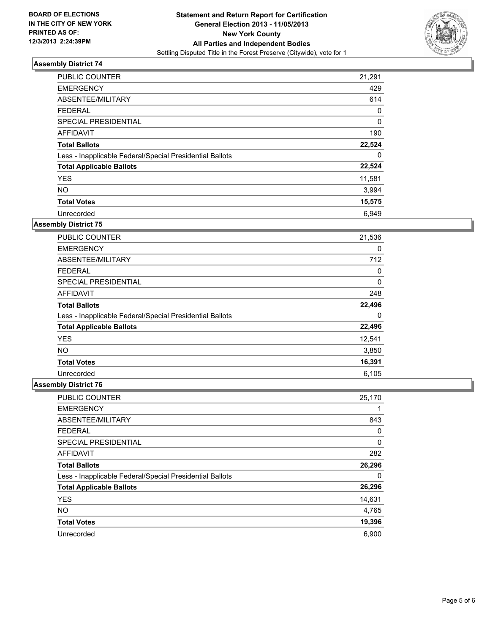

| <b>PUBLIC COUNTER</b>                                    | 21,291      |
|----------------------------------------------------------|-------------|
| <b>EMERGENCY</b>                                         | 429         |
| ABSENTEE/MILITARY                                        | 614         |
| <b>FEDERAL</b>                                           | 0           |
| SPECIAL PRESIDENTIAL                                     | $\mathbf 0$ |
| AFFIDAVIT                                                | 190         |
| <b>Total Ballots</b>                                     | 22,524      |
| Less - Inapplicable Federal/Special Presidential Ballots | 0           |
| <b>Total Applicable Ballots</b>                          | 22,524      |
| <b>YES</b>                                               | 11,581      |
| <b>NO</b>                                                | 3,994       |
| <b>Total Votes</b>                                       | 15,575      |
| Unrecorded                                               | 6.949       |

## **Assembly District 75**

| <b>PUBLIC COUNTER</b>                                    | 21,536 |
|----------------------------------------------------------|--------|
| <b>EMERGENCY</b>                                         | 0      |
| ABSENTEE/MILITARY                                        | 712    |
| <b>FEDERAL</b>                                           | 0      |
| <b>SPECIAL PRESIDENTIAL</b>                              | 0      |
| AFFIDAVIT                                                | 248    |
| <b>Total Ballots</b>                                     | 22,496 |
| Less - Inapplicable Federal/Special Presidential Ballots | 0      |
| <b>Total Applicable Ballots</b>                          | 22,496 |
| <b>YES</b>                                               | 12,541 |
| <b>NO</b>                                                | 3,850  |
| <b>Total Votes</b>                                       | 16,391 |
| Unrecorded                                               | 6,105  |

| PUBLIC COUNTER                                           | 25,170 |
|----------------------------------------------------------|--------|
| <b>EMERGENCY</b>                                         |        |
| ABSENTEE/MILITARY                                        | 843    |
| <b>FEDERAL</b>                                           | 0      |
| SPECIAL PRESIDENTIAL                                     | 0      |
| AFFIDAVIT                                                | 282    |
| <b>Total Ballots</b>                                     | 26,296 |
| Less - Inapplicable Federal/Special Presidential Ballots | 0      |
| <b>Total Applicable Ballots</b>                          | 26,296 |
| <b>YES</b>                                               | 14,631 |
| <b>NO</b>                                                | 4,765  |
| <b>Total Votes</b>                                       | 19,396 |
| Unrecorded                                               | 6,900  |